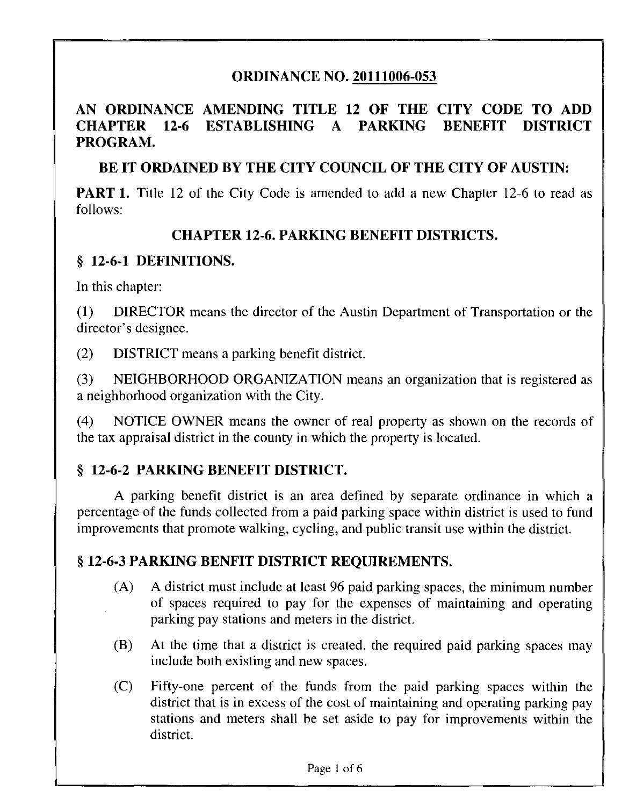## ORDINANCE NO. 20111006-053

#### AN ORDINANCE AMENDING TITLE 12 OF THE CITY CODE TO ADD CHAPTER 12-6 ESTABLISHING A PARKING BENEFIT DISTRICT PROGRAM.

#### BE IT ORDAINED BY THE CITY COUNCIL OF THE CITY OF AUSTIN:

**PART 1.** Title 12 of the City Code is amended to add a new Chapter 12-6 to read as follows:

#### CHAPTER 12-6. PARKING BENEFIT DISTRICTS.

#### § 12-6-1 DEFINITIONS.

In this chapter:

(1) DIRECTOR means the director of the Austin Department of Transportation or the director's designee.

(2) DISTRICT means a parking benefit district

(3) NEIGHBORHOOD ORGANIZATION means an organization that is registered as a neighborhood organization with the City.

(4) NOTICE OWNER means the owner of real property as shown on the records of the tax appraisal district in the county in which the property is located.

# § 12-6-2 PARKING BENEFIT DISTRICT.

A parking benefit district is an area defined by separate ordinance in which a percentage of the funds collected from a paid parking space within district is used to fund improvements that promote walking, cycling, and public transit use within the district.

#### § 12-6-3 PARKING BENFIT DISTRICT REQUIREMENTS.

- (A) A district must include at least 96 paid parking spaces, the minimum number of spaces required to pay for the expenses of maintaining and operating parking pay stations and meters in the district.
- (B) At the time that a district is created, the required paid parking spaces may include both existing and new spaces.
- (C) Fifty-one percent of the funds from the paid parking spaces within the district that is in excess of the cost of maintaining and operating parking pay stations and meters shall be set aside to pay for improvements within the district.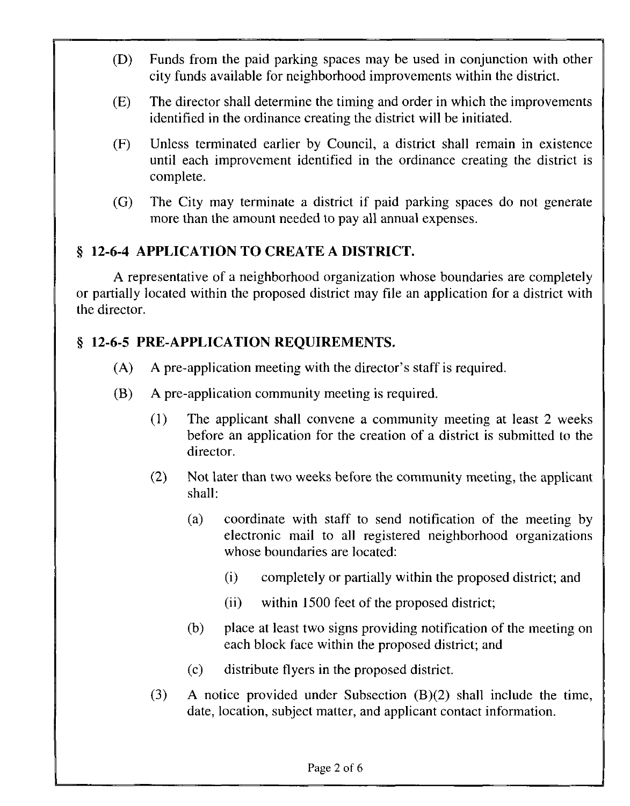- (D) Funds from the paid parking spaces may be used in conjunction with other city funds available for neighborhood improvements within the district.
- (E) The director shall determine the timing and order in which the improvements identified in the ordinance creating the district will be initiated.
- (F) Unless terminated earlier by Council, a district shall remain in existence until each improvement identified in the ordinance creating the district is complete.
- (G) The City may terminate a district if paid parking spaces do not generate more than the amount needed to pay all annual expenses.

## § 12-6-4 APPLICATION TO CREATE A DISTRICT.

A representative of a neighborhood organization whose boundaries are completely or partially located within the proposed district may file an application for a district with the director.

## § 12-6-5 PRE-APPLICATION REQUIREMENTS.

- (A) A pre-application meeting with the director's staff is required.
- (B) A pre-application community meeting is required.
	- (1) The applicant shall convene a community meeting at least 2 weeks before an application for the creation of a district is submitted to the director.
	- (2) Not later than two weeks before the community meeting, the applicant shall:
		- (a) coordinate with staff to send notification of the meeting by electronic mail to all registered neighborhood organizations whose boundaries are located:
			- (i) completely or partially within the proposed district; and
			- (ii) within 1500 feet of the proposed district;
		- (b) place at least two signs providing notification of the meeting on each block face within the proposed district; and
		- (c) distribute flyers in the proposed district.
	- (3) A notice provided under Subsection (B)(2) shall include the time, date, location, subject matter, and applicant contact information.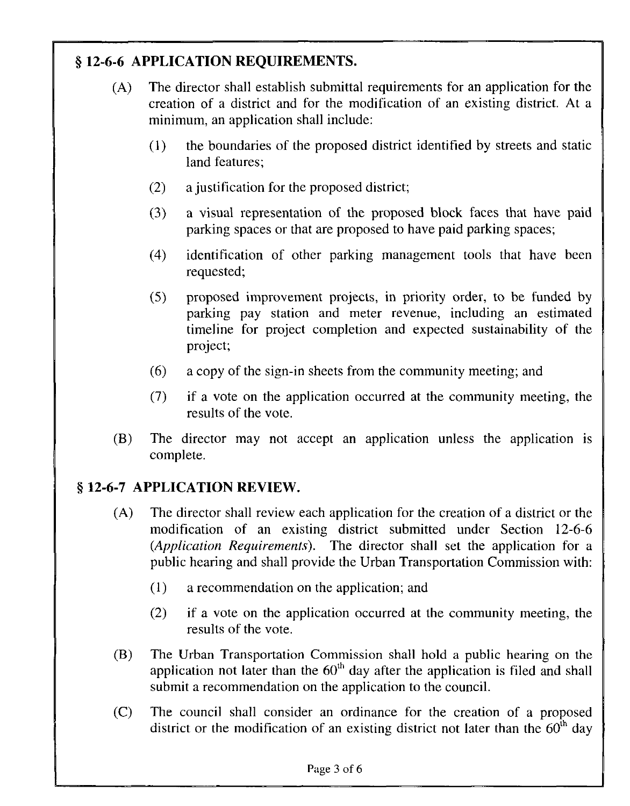# § 12-6-6 APPLICATION REQUIREMENTS.

- (A) The director shall establish submittal requirements for an application for the creation of a district and for the modification of an existing district. At a minimum, an application shall include:
	- (1) the boundaries of the proposed district identified by streets and static land features;
	- (2) a justification for the proposed district;
	- (3) a visual representation of the proposed block faces that have paid parking spaces or that are proposed to have paid parking spaces;
	- (4) identification of other parking management tools that have been requested;
	- (5) proposed improvement projects, in priority order, to be funded by parking pay station and meter revenue, including an estimated timeline for project completion and expected sustainability of the project;
	- (6) a copy of the sign-in sheets from the community meeting; and
	- (7) if a vote on the application occurred at the community meeting, the results of the vote.
- (B) The director may not accept an application unless the application is complete.

# § 12-6-7 APPLICATION REVIEW.

- (A) The director shall review each application for the creation of a district or the modification of an existing district submitted under Section 12-6-6 (Application Requirements). The director shall set the application for a public hearing and shall provide the Urban Transportation Commission with:
	- (1) a recommendation on the application; and
	- (2) if a vote on the application occurred at the community meeting, the results of the vote.
- (B) The Urban Transportation Commission shall hold a public hearing on the application not later than the  $60<sup>th</sup>$  day after the application is filed and shall submit a recommendation on the application to the council.
- (C) The council shall consider an ordinance for the creation of a proposed district or the modification of an existing district not later than the  $60<sup>th</sup>$  day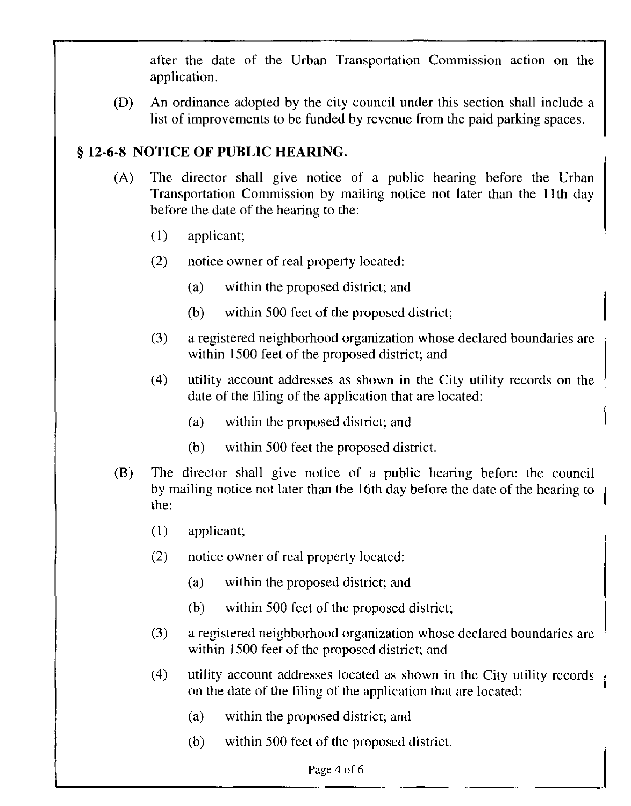after the date of the Urban Transportation Commission action on the application.

(D) An ordinance adopted by the city council under this section shall include a list of improvements to be funded by revenue from the paid parking spaces.

#### § 12-6-8 NOTICE OF PUBLIC HEARING.

- (A) The director shall give notice of a public hearing before the Urban Transportation Commission by mailing notice not later than the llth day before the date of the hearing to the:
	- (1) applicant;
	- (2) notice owner of real property located:
		- (a) within the proposed district; and
		- (b) within 500 feet of the proposed district;
	- (3) a registered neighborhood organization whose declared boundaries are within 1500 feet of the proposed district; and
	- (4) utility account addresses as shown in the City utility records on the date of the filing of the application that are located:
		- (a) within the proposed district; and
		- (b) within 500 feet the proposed district.
- (B) The director shall give notice of a public hearing before the council by mailing notice not later than the 16th day before the date of the hearing to the:
	- (1) applicant;
	- (2) notice owner of real property located:
		- (a) within the proposed district; and
		- (b) within 500 feet of the proposed district;
	- (3) a registered neighborhood organization whose declared boundaries are within 1500 feet of the proposed district; and
	- (4) utility account addresses located as shown in the City utility records on the date of the filing of the application that are located:
		- (a) within the proposed district; and
		- (b) within 500 feet of the proposed district.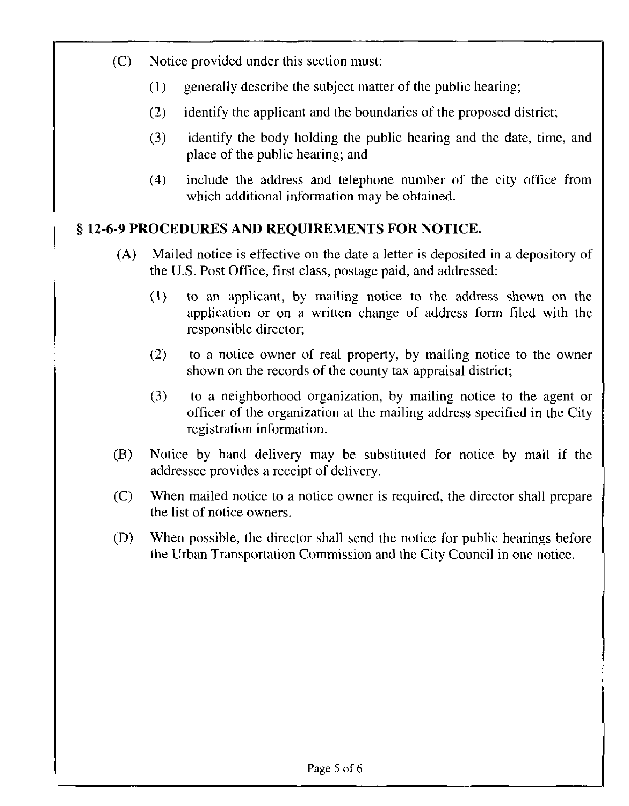- (C) Notice provided under this section must:
	- (1) generally describe the subject matter of the public hearing;
	- (2) identify the applicant and the boundaries of the proposed district;
	- (3) identify the body holding the public hearing and the date, time, and place of the public hearing; and
	- (4) include the address and telephone number of the city office from which additional information may be obtained.

## § 12-6-9 PROCEDURES AND REQUIREMENTS FOR NOTICE.

- (A) Mailed notice is effective on the date a letter is deposited in a depository of the U.S. Post Office, first class, postage paid, and addressed:
	- (1) to an applicant, by mailing notice to the address shown on the application or on a written change of address form filed with the responsible director;
	- (2) to a notice owner of real property, by mailing notice to the owner shown on the records of the county tax appraisal district;
	- (3) to a neighborhood organization, by mailing notice to the agent or officer of the organization at the mailing address specified in the City registration information.
- (B) Notice by hand delivery may be substituted for notice by mail if the addressee provides a receipt of delivery.
- (C) When mailed notice to a notice owner is required, the director shall prepare the list of notice owners.
- (D) When possible, the director shall send the notice for public hearings before the Urban Transportation Commission and the City Council in one notice.